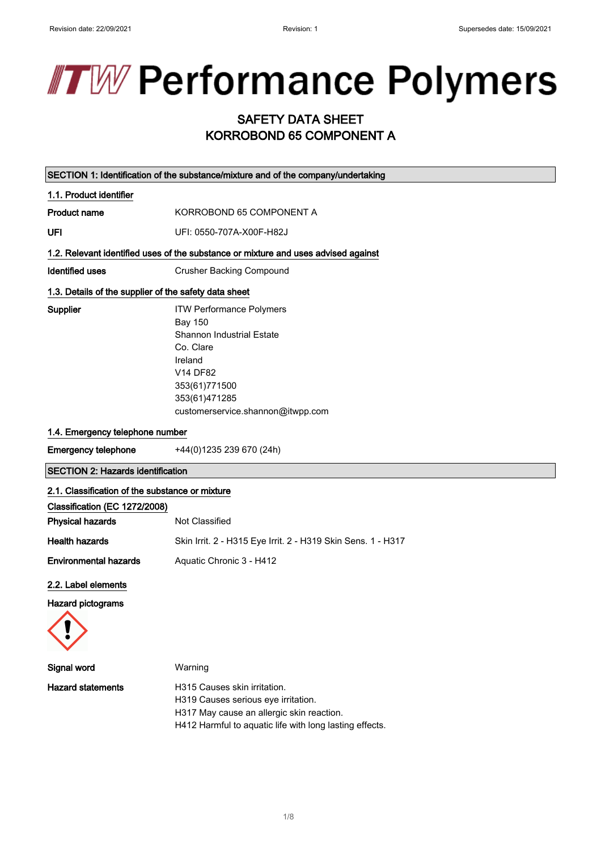# **TW Performance Polymers**

## SAFETY DATA SHEET KORROBOND 65 COMPONENT A

|                                                       | SECTION 1: Identification of the substance/mixture and of the company/undertaking                                                                                                                |
|-------------------------------------------------------|--------------------------------------------------------------------------------------------------------------------------------------------------------------------------------------------------|
| 1.1. Product identifier                               |                                                                                                                                                                                                  |
| <b>Product name</b>                                   | KORROBOND 65 COMPONENT A                                                                                                                                                                         |
| UFI                                                   | UFI: 0550-707A-X00F-H82J                                                                                                                                                                         |
|                                                       | 1.2. Relevant identified uses of the substance or mixture and uses advised against                                                                                                               |
| <b>Identified uses</b>                                | <b>Crusher Backing Compound</b>                                                                                                                                                                  |
| 1.3. Details of the supplier of the safety data sheet |                                                                                                                                                                                                  |
| Supplier                                              | <b>ITW Performance Polymers</b><br><b>Bay 150</b><br>Shannon Industrial Estate<br>Co. Clare<br>Ireland<br><b>V14 DF82</b><br>353(61)771500<br>353(61)471285<br>customerservice.shannon@itwpp.com |
| 1.4. Emergency telephone number                       |                                                                                                                                                                                                  |
| Emergency telephone                                   | +44(0)1235 239 670 (24h)                                                                                                                                                                         |
| <b>SECTION 2: Hazards identification</b>              |                                                                                                                                                                                                  |
| 2.1. Classification of the substance or mixture       |                                                                                                                                                                                                  |
| Clossification (EC 1979/2008)                         |                                                                                                                                                                                                  |

| Classification (EC 1272/2008) |                                                              |
|-------------------------------|--------------------------------------------------------------|
| <b>Physical hazards</b>       | Not Classified                                               |
| <b>Health hazards</b>         | Skin Irrit. 2 - H315 Eye Irrit. 2 - H319 Skin Sens. 1 - H317 |
| <b>Environmental hazards</b>  | Aquatic Chronic 3 - H412                                     |

## 2.2. Label elements

## Hazard pictograms



| Signal word              | Warning                                                                                              |
|--------------------------|------------------------------------------------------------------------------------------------------|
| <b>Hazard statements</b> | H315 Causes skin irritation.<br>H319 Causes serious eye irritation.                                  |
|                          | H317 May cause an allergic skin reaction.<br>H412 Harmful to aquatic life with long lasting effects. |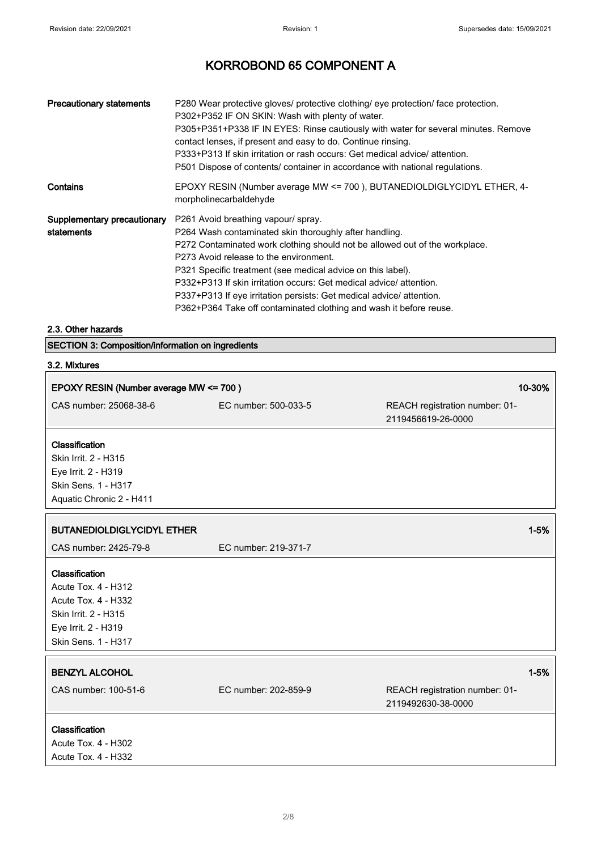| <b>Precautionary statements</b>           | P280 Wear protective gloves/ protective clothing/ eye protection/ face protection.<br>P302+P352 IF ON SKIN: Wash with plenty of water.<br>P305+P351+P338 IF IN EYES: Rinse cautiously with water for several minutes. Remove<br>contact lenses, if present and easy to do. Continue rinsing.<br>P333+P313 If skin irritation or rash occurs: Get medical advice/attention.<br>P501 Dispose of contents/ container in accordance with national regulations.                                               |
|-------------------------------------------|----------------------------------------------------------------------------------------------------------------------------------------------------------------------------------------------------------------------------------------------------------------------------------------------------------------------------------------------------------------------------------------------------------------------------------------------------------------------------------------------------------|
| Contains                                  | EPOXY RESIN (Number average MW <= 700), BUTANEDIOLDIGLYCIDYL ETHER, 4-<br>morpholinecarbaldehyde                                                                                                                                                                                                                                                                                                                                                                                                         |
| Supplementary precautionary<br>statements | P261 Avoid breathing vapour/ spray.<br>P264 Wash contaminated skin thoroughly after handling.<br>P272 Contaminated work clothing should not be allowed out of the workplace.<br>P273 Avoid release to the environment.<br>P321 Specific treatment (see medical advice on this label).<br>P332+P313 If skin irritation occurs: Get medical advice/attention.<br>P337+P313 If eye irritation persists: Get medical advice/attention.<br>P362+P364 Take off contaminated clothing and wash it before reuse. |

## 2.3. Other hazards

SECTION 3: Composition/information on ingredients

## 3.2. Mixtures

 $\sqrt{ }$ 

| EPOXY RESIN (Number average MW <= 700)                                                                                                    |                      |                                                                  | 10-30% |
|-------------------------------------------------------------------------------------------------------------------------------------------|----------------------|------------------------------------------------------------------|--------|
| CAS number: 25068-38-6                                                                                                                    | EC number: 500-033-5 | REACH registration number: 01-<br>2119456619-26-0000             |        |
| Classification<br>Skin Irrit. 2 - H315<br>Eye Irrit. 2 - H319<br>Skin Sens. 1 - H317<br>Aquatic Chronic 2 - H411                          |                      |                                                                  |        |
| <b>BUTANEDIOLDIGLYCIDYL ETHER</b>                                                                                                         |                      | $1 - 5%$                                                         |        |
| CAS number: 2425-79-8                                                                                                                     | EC number: 219-371-7 |                                                                  |        |
| Classification<br><b>Acute Tox. 4 - H312</b><br>Acute Tox. 4 - H332<br>Skin Irrit. 2 - H315<br>Eye Irrit. 2 - H319<br>Skin Sens. 1 - H317 |                      |                                                                  |        |
| <b>BENZYL ALCOHOL</b><br>CAS number: 100-51-6                                                                                             | EC number: 202-859-9 | $1 - 5%$<br>REACH registration number: 01-<br>2119492630-38-0000 |        |
| Classification<br><b>Acute Tox. 4 - H302</b><br>Acute Tox. 4 - H332                                                                       |                      |                                                                  |        |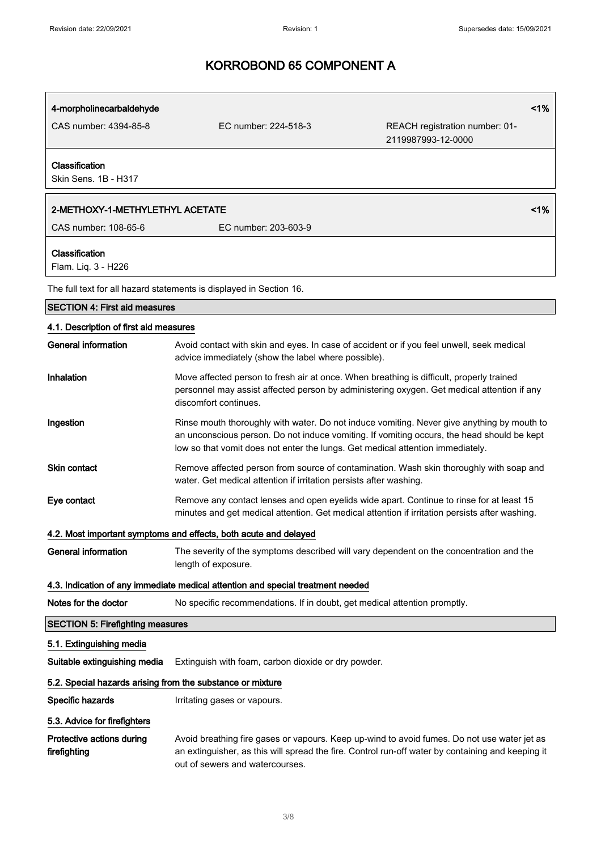| 4-morpholinecarbaldehyde                                                        |                                                                                                                                                                                                                                                                            | 1%                                                   |
|---------------------------------------------------------------------------------|----------------------------------------------------------------------------------------------------------------------------------------------------------------------------------------------------------------------------------------------------------------------------|------------------------------------------------------|
| CAS number: 4394-85-8                                                           | EC number: 224-518-3                                                                                                                                                                                                                                                       | REACH registration number: 01-<br>2119987993-12-0000 |
| Classification<br>Skin Sens, 1B - H317                                          |                                                                                                                                                                                                                                                                            |                                                      |
| 2-METHOXY-1-METHYLETHYL ACETATE                                                 |                                                                                                                                                                                                                                                                            | 1%                                                   |
| CAS number: 108-65-6                                                            | EC number: 203-603-9                                                                                                                                                                                                                                                       |                                                      |
| Classification<br>Flam. Liq. 3 - H226                                           |                                                                                                                                                                                                                                                                            |                                                      |
|                                                                                 | The full text for all hazard statements is displayed in Section 16.                                                                                                                                                                                                        |                                                      |
| <b>SECTION 4: First aid measures</b>                                            |                                                                                                                                                                                                                                                                            |                                                      |
| 4.1. Description of first aid measures                                          |                                                                                                                                                                                                                                                                            |                                                      |
| General information                                                             | Avoid contact with skin and eyes. In case of accident or if you feel unwell, seek medical<br>advice immediately (show the label where possible).                                                                                                                           |                                                      |
| Inhalation                                                                      | Move affected person to fresh air at once. When breathing is difficult, properly trained<br>personnel may assist affected person by administering oxygen. Get medical attention if any<br>discomfort continues.                                                            |                                                      |
| Ingestion                                                                       | Rinse mouth thoroughly with water. Do not induce vomiting. Never give anything by mouth to<br>an unconscious person. Do not induce vomiting. If vomiting occurs, the head should be kept<br>low so that vomit does not enter the lungs. Get medical attention immediately. |                                                      |
| Skin contact                                                                    | Remove affected person from source of contamination. Wash skin thoroughly with soap and<br>water. Get medical attention if irritation persists after washing.                                                                                                              |                                                      |
| Eye contact                                                                     | Remove any contact lenses and open eyelids wide apart. Continue to rinse for at least 15<br>minutes and get medical attention. Get medical attention if irritation persists after washing.                                                                                 |                                                      |
|                                                                                 | 4.2. Most important symptoms and effects, both acute and delayed                                                                                                                                                                                                           |                                                      |
| <b>General information</b>                                                      | The severity of the symptoms described will vary dependent on the concentration and the<br>length of exposure.                                                                                                                                                             |                                                      |
| 4.3. Indication of any immediate medical attention and special treatment needed |                                                                                                                                                                                                                                                                            |                                                      |
| Notes for the doctor                                                            | No specific recommendations. If in doubt, get medical attention promptly.                                                                                                                                                                                                  |                                                      |
| <b>SECTION 5: Firefighting measures</b>                                         |                                                                                                                                                                                                                                                                            |                                                      |
| 5.1. Extinguishing media                                                        |                                                                                                                                                                                                                                                                            |                                                      |
| Suitable extinguishing media                                                    | Extinguish with foam, carbon dioxide or dry powder.                                                                                                                                                                                                                        |                                                      |
| 5.2. Special hazards arising from the substance or mixture                      |                                                                                                                                                                                                                                                                            |                                                      |
| Specific hazards                                                                | Irritating gases or vapours.                                                                                                                                                                                                                                               |                                                      |
| 5.3. Advice for firefighters                                                    |                                                                                                                                                                                                                                                                            |                                                      |
| Protective actions during<br>firefighting                                       | Avoid breathing fire gases or vapours. Keep up-wind to avoid fumes. Do not use water jet as<br>an extinguisher, as this will spread the fire. Control run-off water by containing and keeping it<br>out of sewers and watercourses.                                        |                                                      |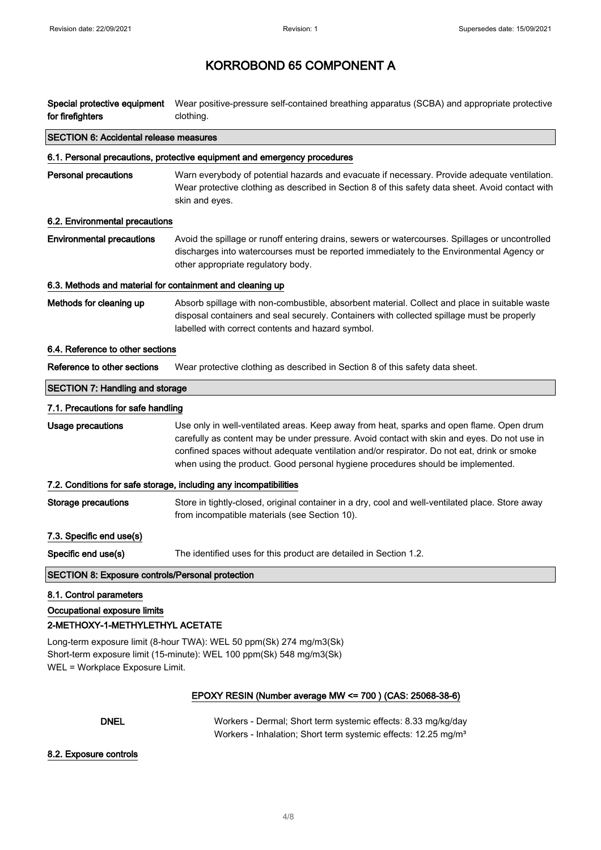| Special protective equipment<br>for firefighters                                           | Wear positive-pressure self-contained breathing apparatus (SCBA) and appropriate protective<br>clothing.                                                                                                                                                                                                                                                                 |  |
|--------------------------------------------------------------------------------------------|--------------------------------------------------------------------------------------------------------------------------------------------------------------------------------------------------------------------------------------------------------------------------------------------------------------------------------------------------------------------------|--|
| <b>SECTION 6: Accidental release measures</b>                                              |                                                                                                                                                                                                                                                                                                                                                                          |  |
|                                                                                            | 6.1. Personal precautions, protective equipment and emergency procedures                                                                                                                                                                                                                                                                                                 |  |
| <b>Personal precautions</b>                                                                | Warn everybody of potential hazards and evacuate if necessary. Provide adequate ventilation.<br>Wear protective clothing as described in Section 8 of this safety data sheet. Avoid contact with<br>skin and eyes.                                                                                                                                                       |  |
| 6.2. Environmental precautions                                                             |                                                                                                                                                                                                                                                                                                                                                                          |  |
| <b>Environmental precautions</b>                                                           | Avoid the spillage or runoff entering drains, sewers or watercourses. Spillages or uncontrolled<br>discharges into watercourses must be reported immediately to the Environmental Agency or<br>other appropriate regulatory body.                                                                                                                                        |  |
| 6.3. Methods and material for containment and cleaning up                                  |                                                                                                                                                                                                                                                                                                                                                                          |  |
| Methods for cleaning up                                                                    | Absorb spillage with non-combustible, absorbent material. Collect and place in suitable waste<br>disposal containers and seal securely. Containers with collected spillage must be properly<br>labelled with correct contents and hazard symbol.                                                                                                                         |  |
| 6.4. Reference to other sections                                                           |                                                                                                                                                                                                                                                                                                                                                                          |  |
| Reference to other sections                                                                | Wear protective clothing as described in Section 8 of this safety data sheet.                                                                                                                                                                                                                                                                                            |  |
| <b>SECTION 7: Handling and storage</b>                                                     |                                                                                                                                                                                                                                                                                                                                                                          |  |
| 7.1. Precautions for safe handling                                                         |                                                                                                                                                                                                                                                                                                                                                                          |  |
| Usage precautions                                                                          | Use only in well-ventilated areas. Keep away from heat, sparks and open flame. Open drum<br>carefully as content may be under pressure. Avoid contact with skin and eyes. Do not use in<br>confined spaces without adequate ventilation and/or respirator. Do not eat, drink or smoke<br>when using the product. Good personal hygiene procedures should be implemented. |  |
| 7.2. Conditions for safe storage, including any incompatibilities                          |                                                                                                                                                                                                                                                                                                                                                                          |  |
| <b>Storage precautions</b>                                                                 | Store in tightly-closed, original container in a dry, cool and well-ventilated place. Store away<br>from incompatible materials (see Section 10).                                                                                                                                                                                                                        |  |
| 7.3. Specific end use(s)                                                                   |                                                                                                                                                                                                                                                                                                                                                                          |  |
| Specific end use(s)                                                                        | The identified uses for this product are detailed in Section 1.2.                                                                                                                                                                                                                                                                                                        |  |
| SECTION 8: Exposure controls/Personal protection                                           |                                                                                                                                                                                                                                                                                                                                                                          |  |
| 8.1. Control parameters<br>Occupational exposure limits<br>2-METHOXY-1-METHYLETHYL ACETATE |                                                                                                                                                                                                                                                                                                                                                                          |  |

Long-term exposure limit (8-hour TWA): WEL 50 ppm(Sk) 274 mg/m3(Sk) Short-term exposure limit (15-minute): WEL 100 ppm(Sk) 548 mg/m3(Sk) WEL = Workplace Exposure Limit.

## EPOXY RESIN (Number average MW <= 700 ) (CAS: 25068-38-6)

DNEL Workers - Dermal; Short term systemic effects: 8.33 mg/kg/day Workers - Inhalation; Short term systemic effects: 12.25 mg/m<sup>3</sup>

#### 8.2. Exposure controls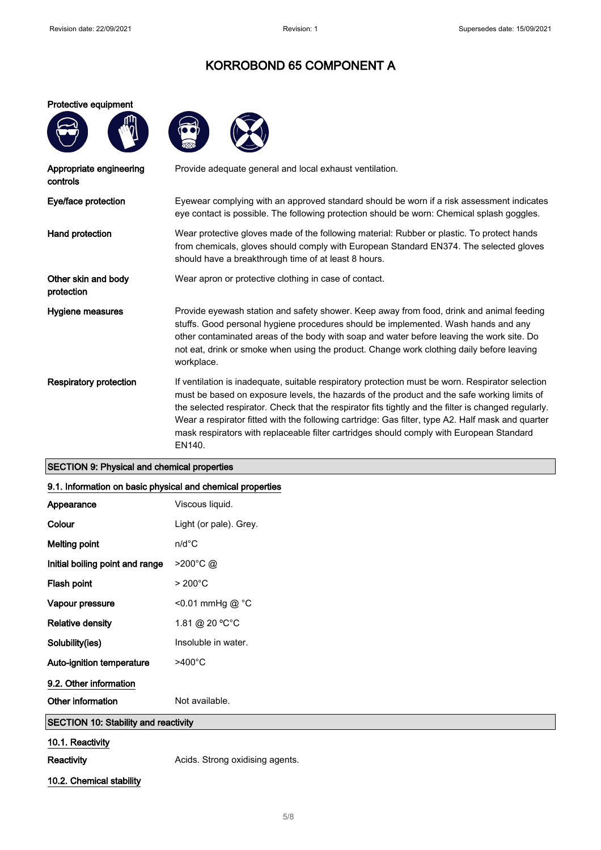#### Protective equipment





| Provide adequate general and local exhaust ventilation.                                                                                                                                                                                                                                                                                                                                                                                                                                                            |
|--------------------------------------------------------------------------------------------------------------------------------------------------------------------------------------------------------------------------------------------------------------------------------------------------------------------------------------------------------------------------------------------------------------------------------------------------------------------------------------------------------------------|
| Eyewear complying with an approved standard should be worn if a risk assessment indicates<br>eye contact is possible. The following protection should be worn: Chemical splash goggles.                                                                                                                                                                                                                                                                                                                            |
| Wear protective gloves made of the following material: Rubber or plastic. To protect hands<br>from chemicals, gloves should comply with European Standard EN374. The selected gloves<br>should have a breakthrough time of at least 8 hours.                                                                                                                                                                                                                                                                       |
| Wear apron or protective clothing in case of contact.                                                                                                                                                                                                                                                                                                                                                                                                                                                              |
| Provide eyewash station and safety shower. Keep away from food, drink and animal feeding<br>stuffs. Good personal hygiene procedures should be implemented. Wash hands and any<br>other contaminated areas of the body with soap and water before leaving the work site. Do<br>not eat, drink or smoke when using the product. Change work clothing daily before leaving<br>workplace.                                                                                                                             |
| If ventilation is inadequate, suitable respiratory protection must be worn. Respirator selection<br>must be based on exposure levels, the hazards of the product and the safe working limits of<br>the selected respirator. Check that the respirator fits tightly and the filter is changed regularly.<br>Wear a respirator fitted with the following cartridge: Gas filter, type A2. Half mask and quarter<br>mask respirators with replaceable filter cartridges should comply with European Standard<br>EN140. |
|                                                                                                                                                                                                                                                                                                                                                                                                                                                                                                                    |

## SECTION 9: Physical and chemical properties

## 9.1. Information on basic physical and chemical properties

|                                             | . .                             |
|---------------------------------------------|---------------------------------|
| Appearance                                  | Viscous liquid.                 |
| Colour                                      | Light (or pale). Grey.          |
| <b>Melting point</b>                        | $n/d$ °C                        |
| Initial boiling point and range             | >200°C@                         |
| Flash point                                 | $>200^{\circ}$ C                |
| Vapour pressure                             | <0.01 mmHg @ °C                 |
| <b>Relative density</b>                     | 1.81 @ 20 °C°C                  |
| Solubility(ies)                             | Insoluble in water.             |
| Auto-ignition temperature                   | $>400^{\circ}$ C                |
| 9.2. Other information                      |                                 |
| Other information                           | Not available.                  |
| <b>SECTION 10: Stability and reactivity</b> |                                 |
| 10.1. Reactivity                            |                                 |
| <b>Reactivity</b>                           | Acids. Strong oxidising agents. |

10.2. Chemical stability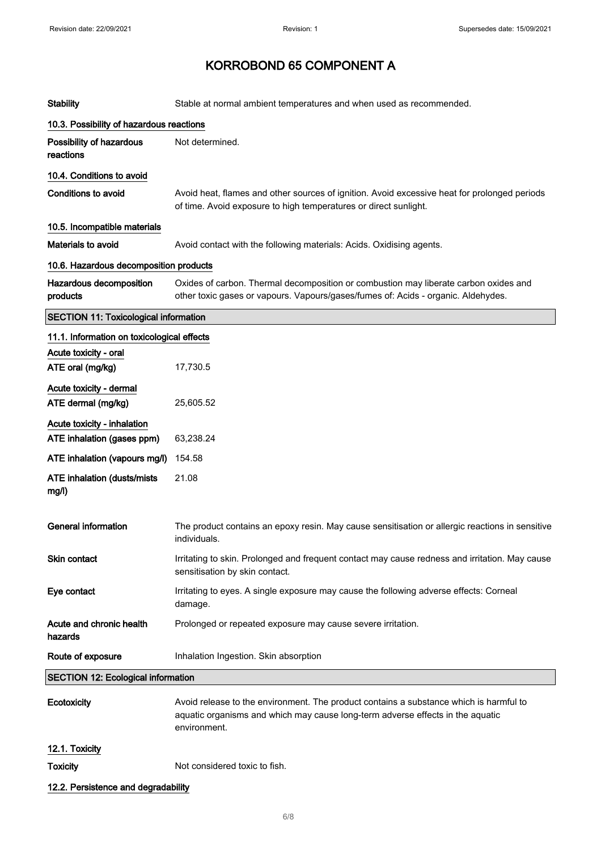| <b>Stability</b>                                          | Stable at normal ambient temperatures and when used as recommended.                                                                                                                      |
|-----------------------------------------------------------|------------------------------------------------------------------------------------------------------------------------------------------------------------------------------------------|
| 10.3. Possibility of hazardous reactions                  |                                                                                                                                                                                          |
| Possibility of hazardous<br>reactions                     | Not determined.                                                                                                                                                                          |
| 10.4. Conditions to avoid                                 |                                                                                                                                                                                          |
| Conditions to avoid                                       | Avoid heat, flames and other sources of ignition. Avoid excessive heat for prolonged periods<br>of time. Avoid exposure to high temperatures or direct sunlight.                         |
| 10.5. Incompatible materials                              |                                                                                                                                                                                          |
| <b>Materials to avoid</b>                                 | Avoid contact with the following materials: Acids. Oxidising agents.                                                                                                                     |
| 10.6. Hazardous decomposition products                    |                                                                                                                                                                                          |
| Hazardous decomposition<br>products                       | Oxides of carbon. Thermal decomposition or combustion may liberate carbon oxides and<br>other toxic gases or vapours. Vapours/gases/fumes of: Acids - organic. Aldehydes.                |
| <b>SECTION 11: Toxicological information</b>              |                                                                                                                                                                                          |
| 11.1. Information on toxicological effects                |                                                                                                                                                                                          |
| Acute toxicity - oral<br>ATE oral (mg/kg)                 | 17,730.5                                                                                                                                                                                 |
| Acute toxicity - dermal<br>ATE dermal (mg/kg)             | 25,605.52                                                                                                                                                                                |
| Acute toxicity - inhalation<br>ATE inhalation (gases ppm) | 63,238.24                                                                                                                                                                                |
| ATE inhalation (vapours mg/l)                             | 154.58                                                                                                                                                                                   |
| <b>ATE inhalation (dusts/mists)</b><br>mg/l)              | 21.08                                                                                                                                                                                    |
| <b>General information</b>                                | The product contains an epoxy resin. May cause sensitisation or allergic reactions in sensitive<br>individuals.                                                                          |
| Skin contact                                              | Irritating to skin. Prolonged and frequent contact may cause redness and irritation. May cause<br>sensitisation by skin contact.                                                         |
| Eye contact                                               | Irritating to eyes. A single exposure may cause the following adverse effects: Corneal<br>damage.                                                                                        |
| Acute and chronic health<br>hazards                       | Prolonged or repeated exposure may cause severe irritation.                                                                                                                              |
| Route of exposure                                         | Inhalation Ingestion. Skin absorption                                                                                                                                                    |
| <b>SECTION 12: Ecological information</b>                 |                                                                                                                                                                                          |
| Ecotoxicity                                               | Avoid release to the environment. The product contains a substance which is harmful to<br>aquatic organisms and which may cause long-term adverse effects in the aquatic<br>environment. |
| 12.1. Toxicity                                            |                                                                                                                                                                                          |
| <b>Toxicity</b>                                           | Not considered toxic to fish.                                                                                                                                                            |
| 12.2. Persistence and degradability                       |                                                                                                                                                                                          |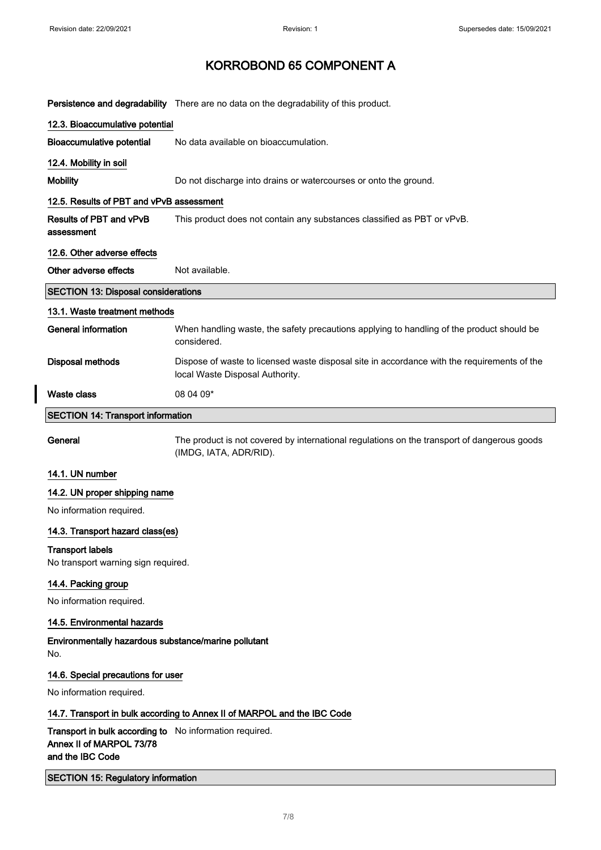$\overline{\phantom{a}}$ 

# KORROBOND 65 COMPONENT A

|                                                                                                         | Persistence and degradability There are no data on the degradability of this product.                                          |
|---------------------------------------------------------------------------------------------------------|--------------------------------------------------------------------------------------------------------------------------------|
| 12.3. Bioaccumulative potential                                                                         |                                                                                                                                |
| <b>Bioaccumulative potential</b>                                                                        | No data available on bioaccumulation.                                                                                          |
| 12.4. Mobility in soil                                                                                  |                                                                                                                                |
| <b>Mobility</b>                                                                                         | Do not discharge into drains or watercourses or onto the ground.                                                               |
| 12.5. Results of PBT and vPvB assessment                                                                |                                                                                                                                |
| Results of PBT and vPvB<br>assessment                                                                   | This product does not contain any substances classified as PBT or vPvB.                                                        |
| 12.6. Other adverse effects                                                                             |                                                                                                                                |
| Other adverse effects                                                                                   | Not available.                                                                                                                 |
| <b>SECTION 13: Disposal considerations</b>                                                              |                                                                                                                                |
| 13.1. Waste treatment methods                                                                           |                                                                                                                                |
| <b>General information</b>                                                                              | When handling waste, the safety precautions applying to handling of the product should be<br>considered.                       |
| <b>Disposal methods</b>                                                                                 | Dispose of waste to licensed waste disposal site in accordance with the requirements of the<br>local Waste Disposal Authority. |
| <b>Waste class</b>                                                                                      | 08 04 09*                                                                                                                      |
| <b>SECTION 14: Transport information</b>                                                                |                                                                                                                                |
| General                                                                                                 | The product is not covered by international regulations on the transport of dangerous goods<br>(IMDG, IATA, ADR/RID).          |
| 14.1. UN number                                                                                         |                                                                                                                                |
| 14.2. UN proper shipping name                                                                           |                                                                                                                                |
| No information required.                                                                                |                                                                                                                                |
| 14.3. Transport hazard class(es)                                                                        |                                                                                                                                |
| <b>Transport labels</b><br>No transport warning sign required.                                          |                                                                                                                                |
| 14.4. Packing group                                                                                     |                                                                                                                                |
| No information required.                                                                                |                                                                                                                                |
| 14.5. Environmental hazards                                                                             |                                                                                                                                |
| Environmentally hazardous substance/marine pollutant<br>No.                                             |                                                                                                                                |
| 14.6. Special precautions for user                                                                      |                                                                                                                                |
| No information required.                                                                                |                                                                                                                                |
|                                                                                                         | 14.7. Transport in bulk according to Annex II of MARPOL and the IBC Code                                                       |
| Transport in bulk according to No information required.<br>Annex II of MARPOL 73/78<br>and the IBC Code |                                                                                                                                |
| <b>SECTION 15: Regulatory information</b>                                                               |                                                                                                                                |